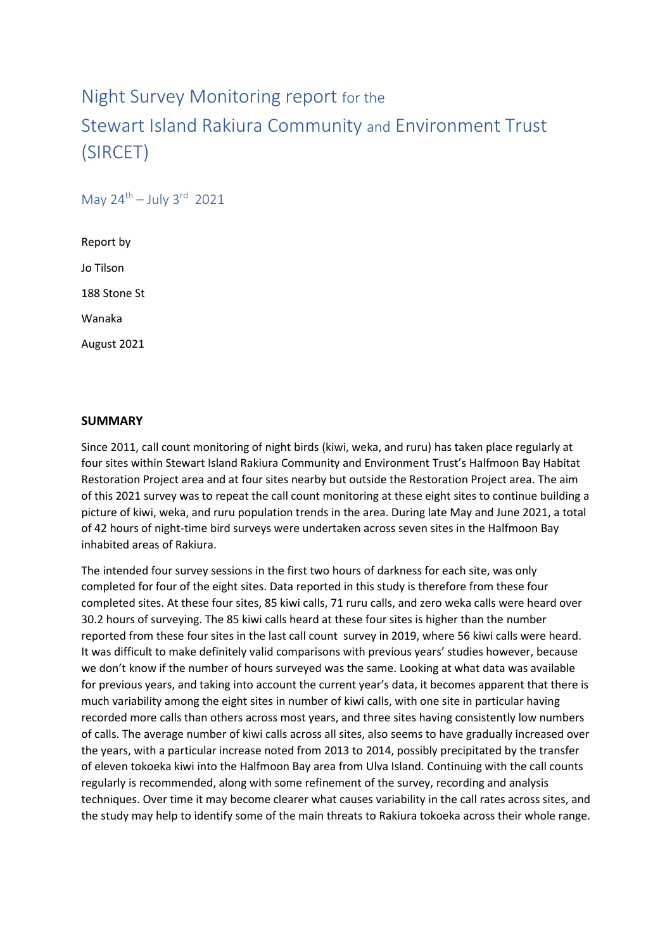# Night Survey Monitoring report for the Stewart Island Rakiura Community and Environment Trust (SIRCET)

May  $24^{th}$  – July  $3^{rd}$  2021

Report by Jo Tilson 188 Stone St Wanaka August 2021

## **SUMMARY**

Since 2011, call count monitoring of night birds (kiwi, weka, and ruru) has taken place regularly at four sites within Stewart Island Rakiura Community and Environment Trust's Halfmoon Bay Habitat Restoration Project area and at four sites nearby but outside the Restoration Project area. The aim of this 2021 survey was to repeat the call count monitoring at these eight sites to continue building a picture of kiwi, weka, and ruru population trends in the area. During late May and June 2021, a total of 42 hours of night-time bird surveys were undertaken across seven sites in the Halfmoon Bay inhabited areas of Rakiura.

The intended four survey sessions in the first two hours of darkness for each site, was only completed for four of the eight sites. Data reported in this study is therefore from these four completed sites. At these four sites, 85 kiwi calls, 71 ruru calls, and zero weka calls were heard over 30.2 hours of surveying. The 85 kiwi calls heard at these four sites is higher than the number reported from these four sites in the last call count survey in 2019, where 56 kiwi calls were heard. It was difficult to make definitely valid comparisons with previous years' studies however, because we don't know if the number of hours surveyed was the same. Looking at what data was available for previous years, and taking into account the current year's data, it becomes apparent that there is much variability among the eight sites in number of kiwi calls, with one site in particular having recorded more calls than others across most years, and three sites having consistently low numbers of calls. The average number of kiwi calls across all sites, also seems to have gradually increased over the years, with a particular increase noted from 2013 to 2014, possibly precipitated by the transfer of eleven tokoeka kiwi into the Halfmoon Bay area from Ulva Island. Continuing with the call counts regularly is recommended, along with some refinement of the survey, recording and analysis techniques. Over time it may become clearer what causes variability in the call rates across sites, and the study may help to identify some of the main threats to Rakiura tokoeka across their whole range.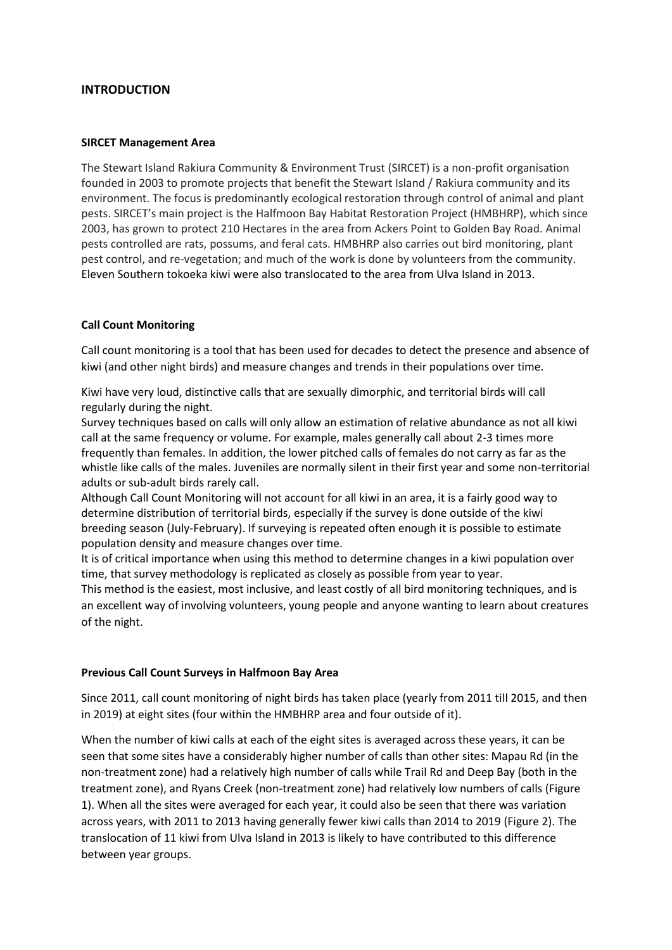# **INTRODUCTION**

#### **SIRCET Management Area**

The Stewart Island Rakiura Community & Environment Trust (SIRCET) is a non-profit organisation founded in 2003 to promote projects that benefit the Stewart Island / Rakiura community and its environment. The focus is predominantly ecological restoration through control of animal and plant pests. SIRCET's main project is the Halfmoon Bay Habitat Restoration Project (HMBHRP), which since 2003, has grown to protect 210 Hectares in the area from Ackers Point to Golden Bay Road. Animal pests controlled are rats, possums, and feral cats. HMBHRP also carries out bird monitoring, plant pest control, and re-vegetation; and much of the work is done by volunteers from the community. Eleven Southern tokoeka kiwi were also translocated to the area from Ulva Island in 2013.

## **Call Count Monitoring**

Call count monitoring is a tool that has been used for decades to detect the presence and absence of kiwi (and other night birds) and measure changes and trends in their populations over time.

Kiwi have very loud, distinctive calls that are sexually dimorphic, and territorial birds will call regularly during the night.

Survey techniques based on calls will only allow an estimation of relative abundance as not all kiwi call at the same frequency or volume. For example, males generally call about 2-3 times more frequently than females. In addition, the lower pitched calls of females do not carry as far as the whistle like calls of the males. Juveniles are normally silent in their first year and some non-territorial adults or sub-adult birds rarely call.

Although Call Count Monitoring will not account for all kiwi in an area, it is a fairly good way to determine distribution of territorial birds, especially if the survey is done outside of the kiwi breeding season (July-February). If surveying is repeated often enough it is possible to estimate population density and measure changes over time.

It is of critical importance when using this method to determine changes in a kiwi population over time, that survey methodology is replicated as closely as possible from year to year.

This method is the easiest, most inclusive, and least costly of all bird monitoring techniques, and is an excellent way of involving volunteers, young people and anyone wanting to learn about creatures of the night.

## **Previous Call Count Surveys in Halfmoon Bay Area**

Since 2011, call count monitoring of night birds has taken place (yearly from 2011 till 2015, and then in 2019) at eight sites (four within the HMBHRP area and four outside of it).

When the number of kiwi calls at each of the eight sites is averaged across these years, it can be seen that some sites have a considerably higher number of calls than other sites: Mapau Rd (in the non-treatment zone) had a relatively high number of calls while Trail Rd and Deep Bay (both in the treatment zone), and Ryans Creek (non-treatment zone) had relatively low numbers of calls (Figure 1). When all the sites were averaged for each year, it could also be seen that there was variation across years, with 2011 to 2013 having generally fewer kiwi calls than 2014 to 2019 (Figure 2). The translocation of 11 kiwi from Ulva Island in 2013 is likely to have contributed to this difference between year groups.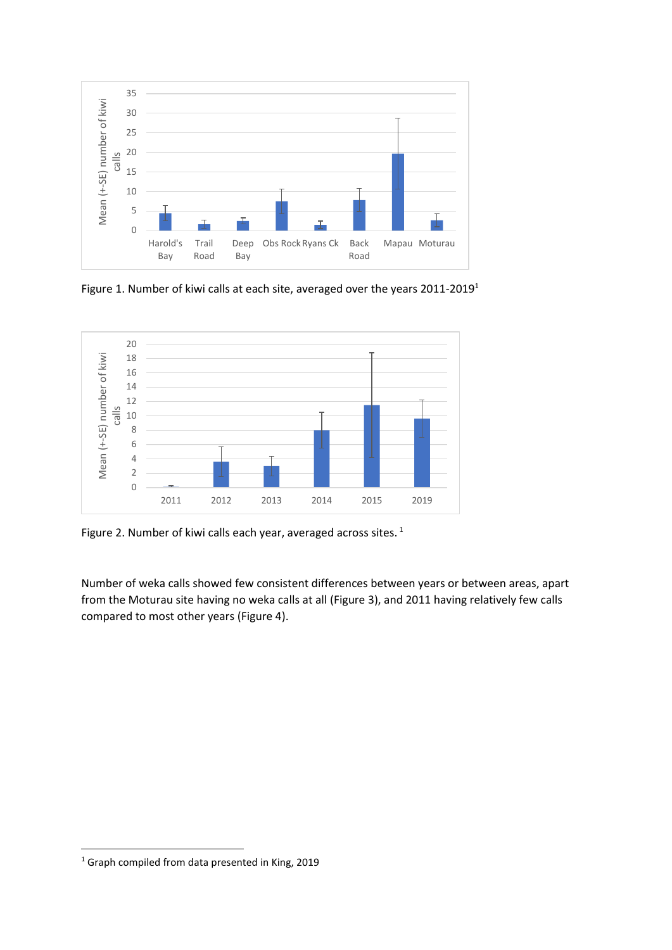

Figure 1. Number of kiwi calls at each site, averaged over the years 2011-2019<sup>1</sup>



Figure 2. Number of kiwi calls each year, averaged across sites.<sup>1</sup>

Number of weka calls showed few consistent differences between years or between areas, apart from the Moturau site having no weka calls at all (Figure 3), and 2011 having relatively few calls compared to most other years (Figure 4).

<sup>1</sup> Graph compiled from data presented in King, 2019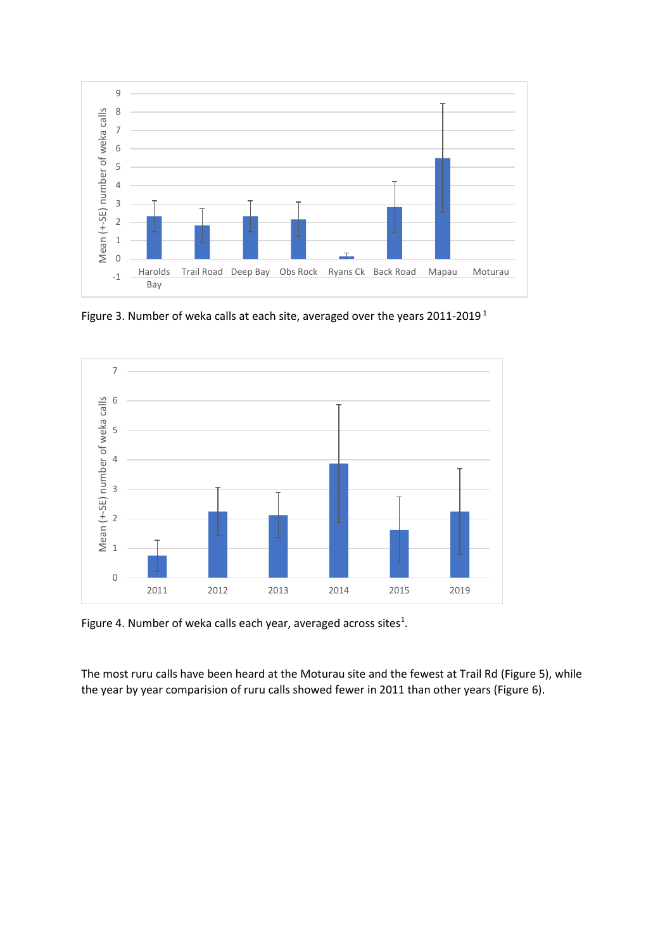

Figure 3. Number of weka calls at each site, averaged over the years 2011-2019<sup>1</sup>



Figure 4. Number of weka calls each year, averaged across sites<sup>1</sup>.

The most ruru calls have been heard at the Moturau site and the fewest at Trail Rd (Figure 5), while the year by year comparision of ruru calls showed fewer in 2011 than other years (Figure 6).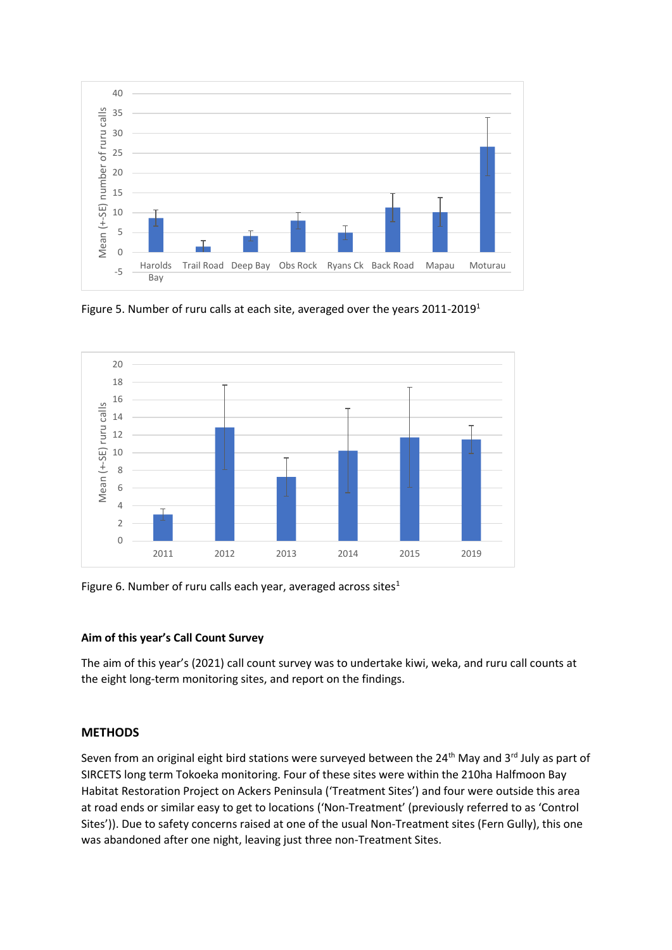

Figure 5. Number of ruru calls at each site, averaged over the years 2011-2019<sup>1</sup>



Figure 6. Number of ruru calls each year, averaged across sites $1$ 

# **Aim of this year's Call Count Survey**

The aim of this year's (2021) call count survey was to undertake kiwi, weka, and ruru call counts at the eight long-term monitoring sites, and report on the findings.

# **METHODS**

Seven from an original eight bird stations were surveyed between the 24<sup>th</sup> May and 3<sup>rd</sup> July as part of SIRCETS long term Tokoeka monitoring. Four of these sites were within the 210ha Halfmoon Bay Habitat Restoration Project on Ackers Peninsula ('Treatment Sites') and four were outside this area at road ends or similar easy to get to locations ('Non-Treatment' (previously referred to as 'Control Sites')). Due to safety concerns raised at one of the usual Non-Treatment sites (Fern Gully), this one was abandoned after one night, leaving just three non-Treatment Sites.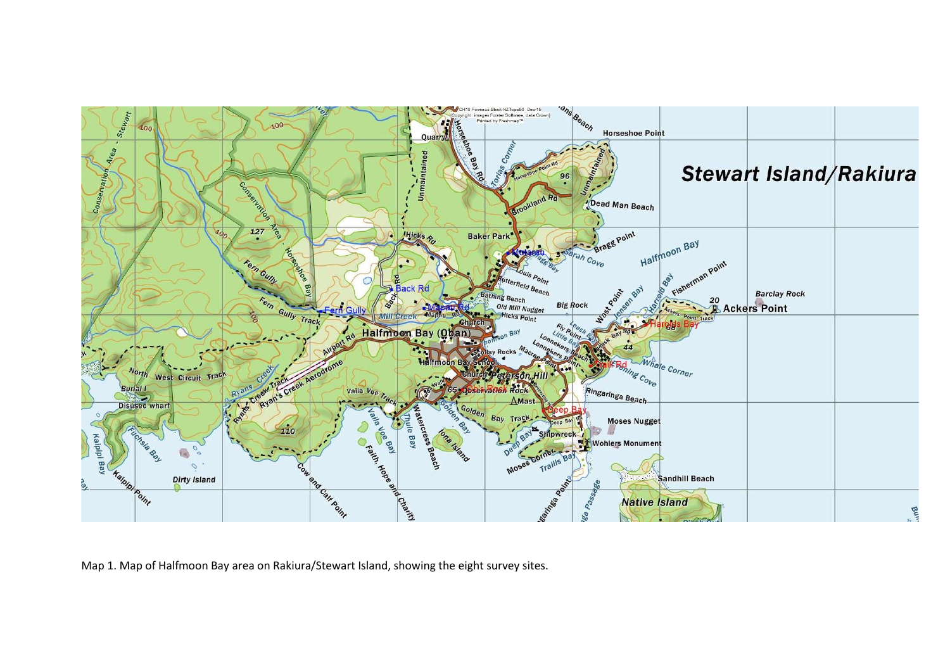

Map 1. Map of Halfmoon Bay area on Rakiura/Stewart Island, showing the eight survey sites.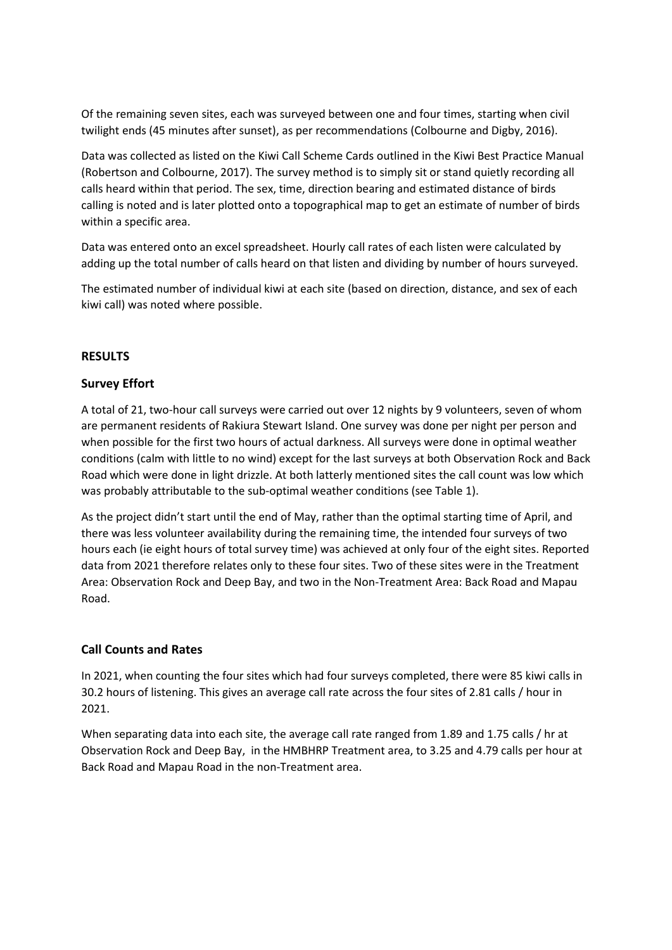Of the remaining seven sites, each was surveyed between one and four times, starting when civil twilight ends (45 minutes after sunset), as per recommendations (Colbourne and Digby, 2016).

Data was collected as listed on the Kiwi Call Scheme Cards outlined in the Kiwi Best Practice Manual (Robertson and Colbourne, 2017). The survey method is to simply sit or stand quietly recording all calls heard within that period. The sex, time, direction bearing and estimated distance of birds calling is noted and is later plotted onto a topographical map to get an estimate of number of birds within a specific area.

Data was entered onto an excel spreadsheet. Hourly call rates of each listen were calculated by adding up the total number of calls heard on that listen and dividing by number of hours surveyed.

The estimated number of individual kiwi at each site (based on direction, distance, and sex of each kiwi call) was noted where possible.

# **RESULTS**

# **Survey Effort**

A total of 21, two-hour call surveys were carried out over 12 nights by 9 volunteers, seven of whom are permanent residents of Rakiura Stewart Island. One survey was done per night per person and when possible for the first two hours of actual darkness. All surveys were done in optimal weather conditions (calm with little to no wind) except for the last surveys at both Observation Rock and Back Road which were done in light drizzle. At both latterly mentioned sites the call count was low which was probably attributable to the sub-optimal weather conditions (see Table 1).

As the project didn't start until the end of May, rather than the optimal starting time of April, and there was less volunteer availability during the remaining time, the intended four surveys of two hours each (ie eight hours of total survey time) was achieved at only four of the eight sites. Reported data from 2021 therefore relates only to these four sites. Two of these sites were in the Treatment Area: Observation Rock and Deep Bay, and two in the Non-Treatment Area: Back Road and Mapau Road.

# **Call Counts and Rates**

In 2021, when counting the four sites which had four surveys completed, there were 85 kiwi calls in 30.2 hours of listening. This gives an average call rate across the four sites of 2.81 calls / hour in 2021.

When separating data into each site, the average call rate ranged from 1.89 and 1.75 calls / hr at Observation Rock and Deep Bay, in the HMBHRP Treatment area, to 3.25 and 4.79 calls per hour at Back Road and Mapau Road in the non-Treatment area.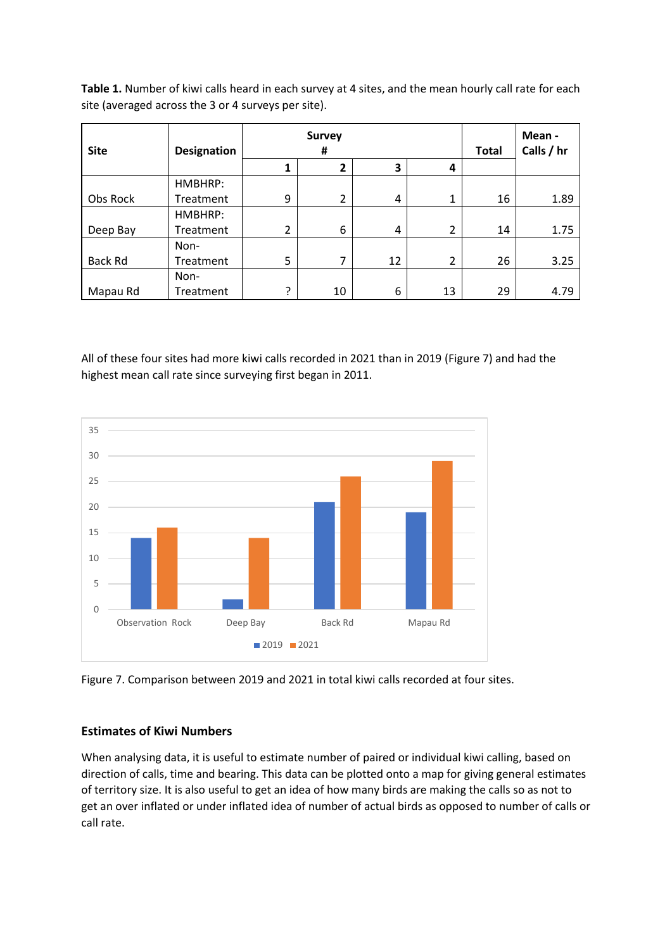**Table 1.** Number of kiwi calls heard in each survey at 4 sites, and the mean hourly call rate for each site (averaged across the 3 or 4 surveys per site).

| <b>Site</b>    | <b>Designation</b> | <b>Survey</b><br>Ħ |    |    |                | <b>Total</b> | Mean -<br>Calls / hr |
|----------------|--------------------|--------------------|----|----|----------------|--------------|----------------------|
|                |                    |                    | 2  | 3  | 4              |              |                      |
|                | HMBHRP:            |                    |    |    |                |              |                      |
| Obs Rock       | Treatment          | 9                  | 2  | 4  | 1              | 16           | 1.89                 |
|                | HMBHRP:            |                    |    |    |                |              |                      |
| Deep Bay       | Treatment          | $\overline{2}$     | 6  | 4  | $\overline{2}$ | 14           | 1.75                 |
|                | Non-               |                    |    |    |                |              |                      |
| <b>Back Rd</b> | Treatment          | 5                  | 7  | 12 | 2              | 26           | 3.25                 |
|                | Non-               |                    |    |    |                |              |                      |
| Mapau Rd       | Treatment          | ς                  | 10 | 6  | 13             | 29           | 4.79                 |

All of these four sites had more kiwi calls recorded in 2021 than in 2019 (Figure 7) and had the highest mean call rate since surveying first began in 2011.





# **Estimates of Kiwi Numbers**

When analysing data, it is useful to estimate number of paired or individual kiwi calling, based on direction of calls, time and bearing. This data can be plotted onto a map for giving general estimates of territory size. It is also useful to get an idea of how many birds are making the calls so as not to get an over inflated or under inflated idea of number of actual birds as opposed to number of calls or call rate.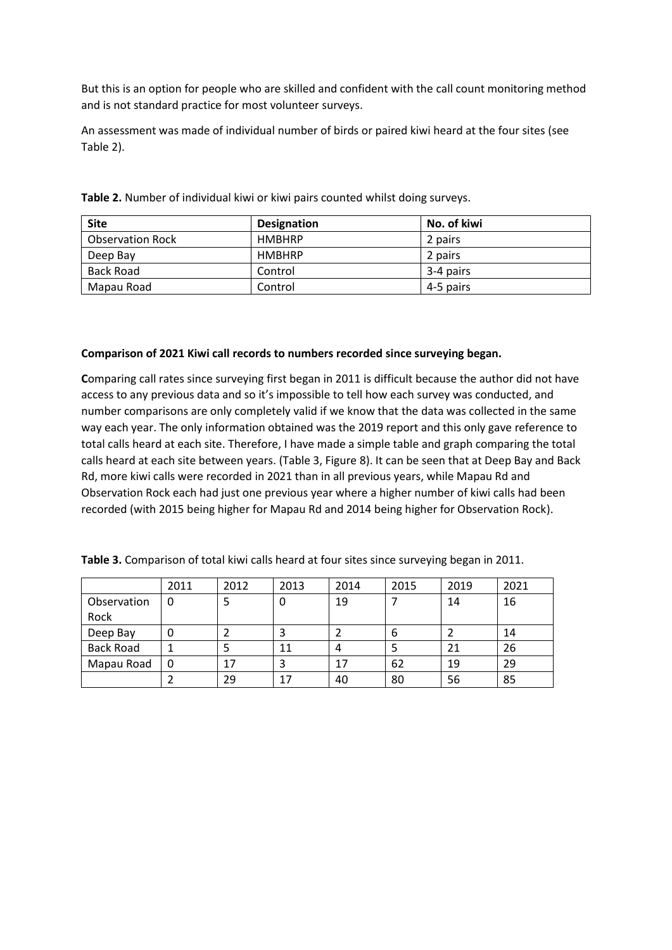But this is an option for people who are skilled and confident with the call count monitoring method and is not standard practice for most volunteer surveys.

An assessment was made of individual number of birds or paired kiwi heard at the four sites (see Table 2).

| <b>Site</b>             | <b>Designation</b> | No. of kiwi |
|-------------------------|--------------------|-------------|
| <b>Observation Rock</b> | <b>HMBHRP</b>      | 2 pairs     |
| Deep Bay                | <b>HMBHRP</b>      | 2 pairs     |
| Back Road               | Control            | 3-4 pairs   |
| Mapau Road              | Control            | 4-5 pairs   |

**Table 2.** Number of individual kiwi or kiwi pairs counted whilst doing surveys.

## **Comparison of 2021 Kiwi call records to numbers recorded since surveying began.**

**C**omparing call rates since surveying first began in 2011 is difficult because the author did not have access to any previous data and so it's impossible to tell how each survey was conducted, and number comparisons are only completely valid if we know that the data was collected in the same way each year. The only information obtained was the 2019 report and this only gave reference to total calls heard at each site. Therefore, I have made a simple table and graph comparing the total calls heard at each site between years. (Table 3, Figure 8). It can be seen that at Deep Bay and Back Rd, more kiwi calls were recorded in 2021 than in all previous years, while Mapau Rd and Observation Rock each had just one previous year where a higher number of kiwi calls had been recorded (with 2015 being higher for Mapau Rd and 2014 being higher for Observation Rock).

|                  | 2011 | 2012 | 2013 | 2014 | 2015 | 2019 | 2021 |
|------------------|------|------|------|------|------|------|------|
| Observation      | 0    |      | υ    | 19   |      | 14   | 16   |
| Rock             |      |      |      |      |      |      |      |
| Deep Bay         |      |      |      |      | 6    |      | 14   |
| <b>Back Road</b> |      |      | 11   | 4    |      | 21   | 26   |
| Mapau Road       | 0    | 17   |      | 17   | 62   | 19   | 29   |
|                  |      | 29   | 17   | 40   | 80   | 56   | 85   |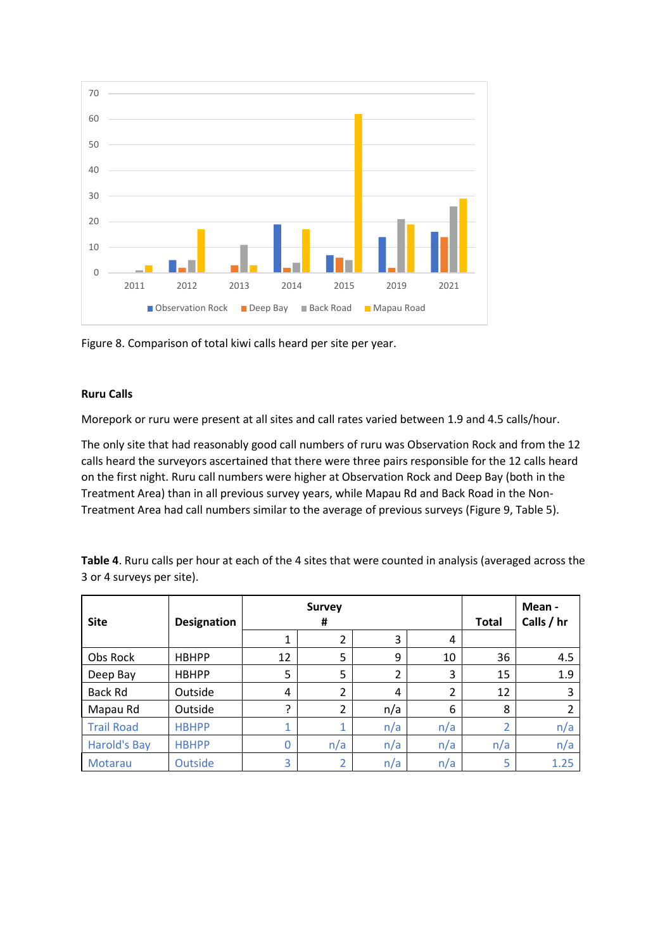

Figure 8. Comparison of total kiwi calls heard per site per year.

## **Ruru Calls**

Morepork or ruru were present at all sites and call rates varied between 1.9 and 4.5 calls/hour.

The only site that had reasonably good call numbers of ruru was Observation Rock and from the 12 calls heard the surveyors ascertained that there were three pairs responsible for the 12 calls heard on the first night. Ruru call numbers were higher at Observation Rock and Deep Bay (both in the Treatment Area) than in all previous survey years, while Mapau Rd and Back Road in the Non-Treatment Area had call numbers similar to the average of previous surveys (Figure 9, Table 5).

**Table 4**. Ruru calls per hour at each of the 4 sites that were counted in analysis (averaged across the 3 or 4 surveys per site).

| <b>Site</b>         | <b>Designation</b> |              | <b>Survey</b><br># |     |     | <b>Total</b>   | Mean -<br>Calls / hr |
|---------------------|--------------------|--------------|--------------------|-----|-----|----------------|----------------------|
|                     |                    |              | $\overline{2}$     | 3   | 4   |                |                      |
| Obs Rock            | <b>HBHPP</b>       | 12           | 5                  | 9   | 10  | 36             | 4.5                  |
| Deep Bay            | <b>HBHPP</b>       | 5            | 5                  | 2   | 3   | 15             | 1.9                  |
| Back Rd             | Outside            | 4            | $\overline{2}$     | 4   | 2   | 12             | 3                    |
| Mapau Rd            | Outside            | ን            | $\overline{2}$     | n/a | 6   | 8              |                      |
| <b>Trail Road</b>   | <b>HBHPP</b>       | 1            | 1                  | n/a | n/a | $\overline{2}$ | n/a                  |
| <b>Harold's Bay</b> | <b>HBHPP</b>       | $\mathbf{0}$ | n/a                | n/a | n/a | n/a            | n/a                  |
| <b>Motarau</b>      | Outside            | 3            | 2                  | n/a | n/a | 5              | 1.25                 |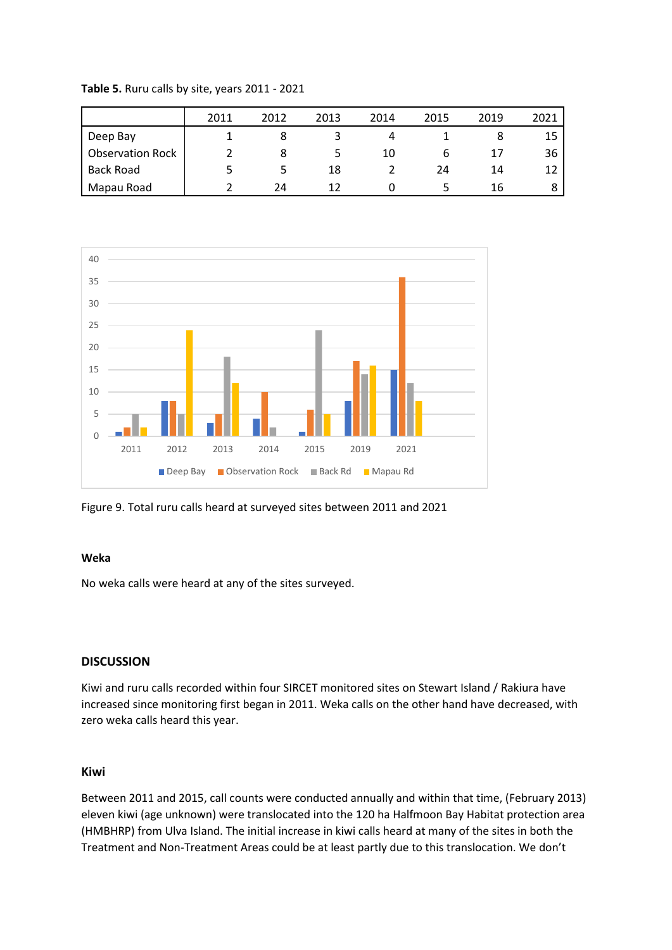|                         | 2011 | 2012 | 2013 | 2014 | 2015 | 2019 | 2021 |
|-------------------------|------|------|------|------|------|------|------|
| Deep Bay                |      |      |      |      |      |      | 15   |
| <b>Observation Rock</b> |      |      |      | 10   |      |      | 36   |
| <b>Back Road</b>        |      |      | 18   |      | 24   | 14   | 12   |
| Mapau Road              |      | 24   |      |      |      | 16   |      |

**Table 5.** Ruru calls by site, years 2011 - 2021



Figure 9. Total ruru calls heard at surveyed sites between 2011 and 2021

## **Weka**

No weka calls were heard at any of the sites surveyed.

## **DISCUSSION**

Kiwi and ruru calls recorded within four SIRCET monitored sites on Stewart Island / Rakiura have increased since monitoring first began in 2011. Weka calls on the other hand have decreased, with zero weka calls heard this year.

## **Kiwi**

Between 2011 and 2015, call counts were conducted annually and within that time, (February 2013) eleven kiwi (age unknown) were translocated into the 120 ha Halfmoon Bay Habitat protection area (HMBHRP) from Ulva Island. The initial increase in kiwi calls heard at many of the sites in both the Treatment and Non-Treatment Areas could be at least partly due to this translocation. We don't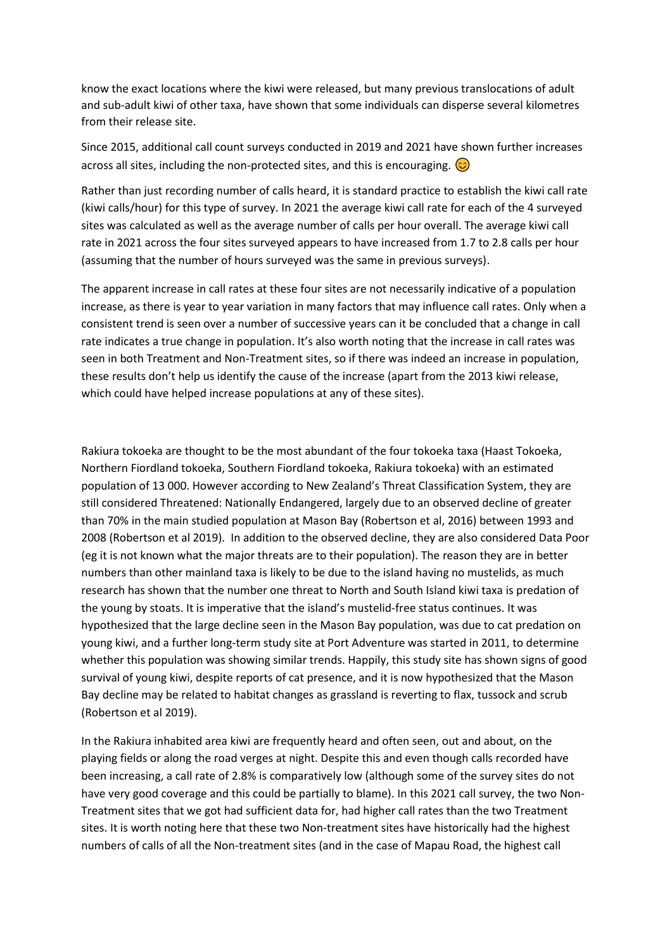know the exact locations where the kiwi were released, but many previous translocations of adult and sub-adult kiwi of other taxa, have shown that some individuals can disperse several kilometres from their release site.

Since 2015, additional call count surveys conducted in 2019 and 2021 have shown further increases across all sites, including the non-protected sites, and this is encouraging.  $\odot$ 

Rather than just recording number of calls heard, it is standard practice to establish the kiwi call rate (kiwi calls/hour) for this type of survey. In 2021 the average kiwi call rate for each of the 4 surveyed sites was calculated as well as the average number of calls per hour overall. The average kiwi call rate in 2021 across the four sites surveyed appears to have increased from 1.7 to 2.8 calls per hour (assuming that the number of hours surveyed was the same in previous surveys).

The apparent increase in call rates at these four sites are not necessarily indicative of a population increase, as there is year to year variation in many factors that may influence call rates. Only when a consistent trend is seen over a number of successive years can it be concluded that a change in call rate indicates a true change in population. It's also worth noting that the increase in call rates was seen in both Treatment and Non-Treatment sites, so if there was indeed an increase in population, these results don't help us identify the cause of the increase (apart from the 2013 kiwi release, which could have helped increase populations at any of these sites).

Rakiura tokoeka are thought to be the most abundant of the four tokoeka taxa (Haast Tokoeka, Northern Fiordland tokoeka, Southern Fiordland tokoeka, Rakiura tokoeka) with an estimated population of 13 000. However according to New Zealand's Threat Classification System, they are still considered Threatened: Nationally Endangered, largely due to an observed decline of greater than 70% in the main studied population at Mason Bay (Robertson et al, 2016) between 1993 and 2008 (Robertson et al 2019). In addition to the observed decline, they are also considered Data Poor (eg it is not known what the major threats are to their population). The reason they are in better numbers than other mainland taxa is likely to be due to the island having no mustelids, as much research has shown that the number one threat to North and South Island kiwi taxa is predation of the young by stoats. It is imperative that the island's mustelid-free status continues. It was hypothesized that the large decline seen in the Mason Bay population, was due to cat predation on young kiwi, and a further long-term study site at Port Adventure was started in 2011, to determine whether this population was showing similar trends. Happily, this study site has shown signs of good survival of young kiwi, despite reports of cat presence, and it is now hypothesized that the Mason Bay decline may be related to habitat changes as grassland is reverting to flax, tussock and scrub (Robertson et al 2019).

In the Rakiura inhabited area kiwi are frequently heard and often seen, out and about, on the playing fields or along the road verges at night. Despite this and even though calls recorded have been increasing, a call rate of 2.8% is comparatively low (although some of the survey sites do not have very good coverage and this could be partially to blame). In this 2021 call survey, the two Non-Treatment sites that we got had sufficient data for, had higher call rates than the two Treatment sites. It is worth noting here that these two Non-treatment sites have historically had the highest numbers of calls of all the Non-treatment sites (and in the case of Mapau Road, the highest call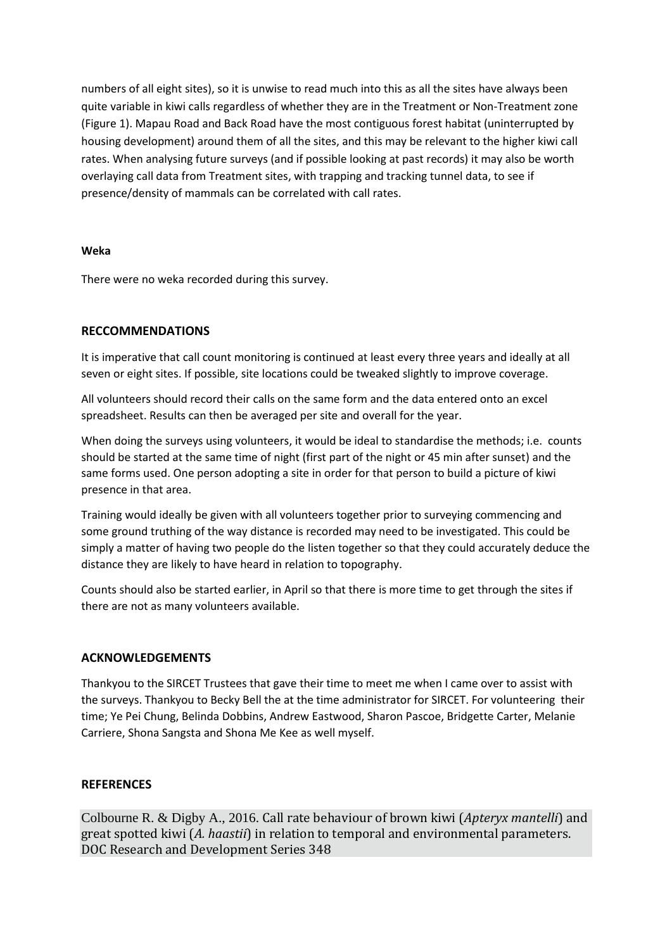numbers of all eight sites), so it is unwise to read much into this as all the sites have always been quite variable in kiwi calls regardless of whether they are in the Treatment or Non-Treatment zone (Figure 1). Mapau Road and Back Road have the most contiguous forest habitat (uninterrupted by housing development) around them of all the sites, and this may be relevant to the higher kiwi call rates. When analysing future surveys (and if possible looking at past records) it may also be worth overlaying call data from Treatment sites, with trapping and tracking tunnel data, to see if presence/density of mammals can be correlated with call rates.

## **Weka**

There were no weka recorded during this survey.

## **RECCOMMENDATIONS**

It is imperative that call count monitoring is continued at least every three years and ideally at all seven or eight sites. If possible, site locations could be tweaked slightly to improve coverage.

All volunteers should record their calls on the same form and the data entered onto an excel spreadsheet. Results can then be averaged per site and overall for the year.

When doing the surveys using volunteers, it would be ideal to standardise the methods; i.e. counts should be started at the same time of night (first part of the night or 45 min after sunset) and the same forms used. One person adopting a site in order for that person to build a picture of kiwi presence in that area.

Training would ideally be given with all volunteers together prior to surveying commencing and some ground truthing of the way distance is recorded may need to be investigated. This could be simply a matter of having two people do the listen together so that they could accurately deduce the distance they are likely to have heard in relation to topography.

Counts should also be started earlier, in April so that there is more time to get through the sites if there are not as many volunteers available.

## **ACKNOWLEDGEMENTS**

Thankyou to the SIRCET Trustees that gave their time to meet me when I came over to assist with the surveys. Thankyou to Becky Bell the at the time administrator for SIRCET. For volunteering their time; Ye Pei Chung, Belinda Dobbins, Andrew Eastwood, Sharon Pascoe, Bridgette Carter, Melanie Carriere, Shona Sangsta and Shona Me Kee as well myself.

## **REFERENCES**

Colbourne R. & Digby A., 2016. Call rate behaviour of brown kiwi (*Apteryx mantelli*) and great spotted kiwi (*A. haastii*) in relation to temporal and environmental parameters. DOC Research and Development Series 348